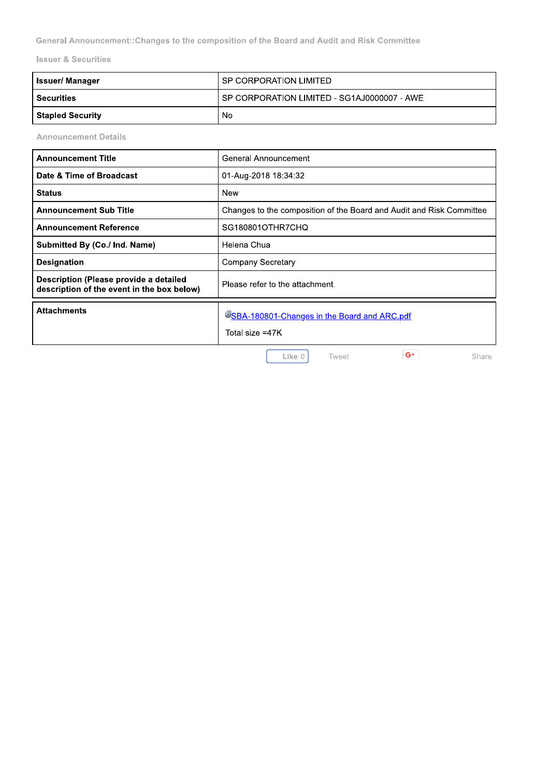General Announcement:: Changes to the composition of the Board and Audit and Risk Committee

**Issuer & Securities** 

| Issuer/ Manager         | l SP CORPORATION LIMITED                      |
|-------------------------|-----------------------------------------------|
| <b>Securities</b>       | I SP CORPORATION LIMITED - SG1AJ0000007 - AWE |
| <b>Stapled Security</b> | No                                            |

**Announcement Details** 

| <b>Announcement Title</b>                                                            | General Announcement                                                 |  |
|--------------------------------------------------------------------------------------|----------------------------------------------------------------------|--|
| Date & Time of Broadcast                                                             | 01-Aug-2018 18:34:32                                                 |  |
| <b>Status</b>                                                                        | New                                                                  |  |
| <b>Announcement Sub Title</b>                                                        | Changes to the composition of the Board and Audit and Risk Committee |  |
| <b>Announcement Reference</b>                                                        | SG180801OTHR7CHQ                                                     |  |
| Submitted By (Co./ Ind. Name)                                                        | Helena Chua                                                          |  |
| <b>Designation</b>                                                                   | <b>Company Secretary</b>                                             |  |
| Description (Please provide a detailed<br>description of the event in the box below) | Please refer to the attachment.                                      |  |
| <b>Attachments</b>                                                                   | USBA-180801-Changes in the Board and ARC.pdf<br>Total size =47K      |  |

Like 0

Tweet

 $G^+$ 

Share